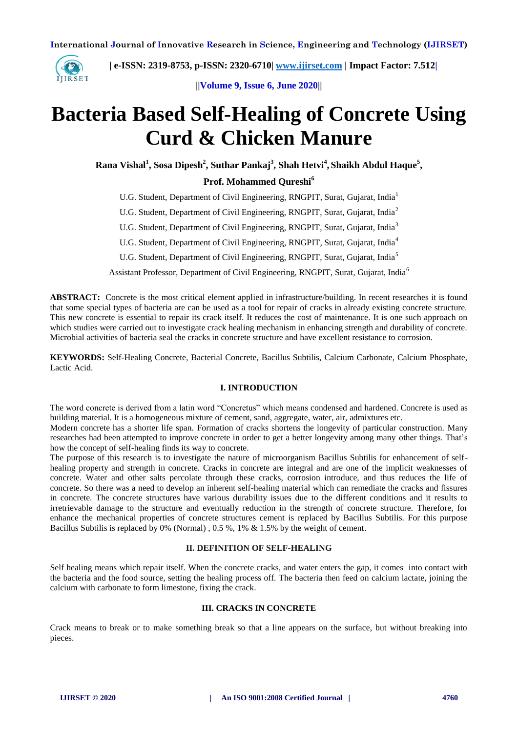

 **| e-ISSN: 2319-8753, p-ISSN: 2320-6710| [www.ijirset.com](http://www.ijirset.com/) | Impact Factor: 7.512|**

**||Volume 9, Issue 6, June 2020||** 

# **Bacteria Based Self-Healing of Concrete Using Curd & Chicken Manure**

**Rana Vishal<sup>1</sup> , Sosa Dipesh<sup>2</sup> , Suthar Pankaj<sup>3</sup> , Shah Hetvi<sup>4</sup> , Shaikh Abdul Haque<sup>5</sup> ,**

# **Prof. Mohammed Qureshi<sup>6</sup>**

U.G. Student, Department of Civil Engineering, RNGPIT, Surat, Gujarat, India<sup>1</sup>

U.G. Student, Department of Civil Engineering, RNGPIT, Surat, Gujarat, India<sup>2</sup>

U.G. Student, Department of Civil Engineering, RNGPIT, Surat, Gujarat, India<sup>3</sup>

U.G. Student, Department of Civil Engineering, RNGPIT, Surat, Gujarat, India<sup>4</sup>

U.G. Student, Department of Civil Engineering, RNGPIT, Surat, Gujarat, India<sup>5</sup>

Assistant Professor, Department of Civil Engineering, RNGPIT, Surat, Gujarat, India<sup>6</sup>

**ABSTRACT:** Concrete is the most critical element applied in infrastructure/building. In recent researches it is found that some special types of bacteria are can be used as a tool for repair of cracks in already existing concrete structure. This new concrete is essential to repair its crack itself. It reduces the cost of maintenance. It is one such approach on which studies were carried out to investigate crack healing mechanism in enhancing strength and durability of concrete. Microbial activities of bacteria seal the cracks in concrete structure and have excellent resistance to corrosion.

**KEYWORDS:** Self-Healing Concrete, Bacterial Concrete, Bacillus Subtilis, Calcium Carbonate, Calcium Phosphate, Lactic Acid.

## **I. INTRODUCTION**

The word concrete is derived from a latin word "Concretus" which means condensed and hardened. Concrete is used as building material. It is a homogeneous mixture of cement, sand, aggregate, water, air, admixtures etc.

Modern concrete has a shorter life span. Formation of cracks shortens the longevity of particular construction. Many researches had been attempted to improve concrete in order to get a better longevity among many other things. That's how the concept of self-healing finds its way to concrete.

The purpose of this research is to investigate the nature of microorganism Bacillus Subtilis for enhancement of selfhealing property and strength in concrete. Cracks in concrete are integral and are one of the implicit weaknesses of concrete. Water and other salts percolate through these cracks, corrosion introduce, and thus reduces the life of concrete. So there was a need to develop an inherent self-healing material which can remediate the cracks and fissures in concrete. The concrete structures have various durability issues due to the different conditions and it results to irretrievable damage to the structure and eventually reduction in the strength of concrete structure. Therefore, for enhance the mechanical properties of concrete structures cement is replaced by Bacillus Subtilis. For this purpose Bacillus Subtilis is replaced by 0% (Normal) , 0.5 %, 1% & 1.5% by the weight of cement.

#### **II. DEFINITION OF SELF-HEALING**

Self healing means which repair itself. When the concrete cracks, and water enters the gap, it comes into contact with the bacteria and the food source, setting the healing process off. The bacteria then feed on calcium lactate, joining the calcium with carbonate to form limestone, fixing the crack.

#### **III. CRACKS IN CONCRETE**

Crack means to break or to make something break so that a line appears on the surface, but without breaking into pieces.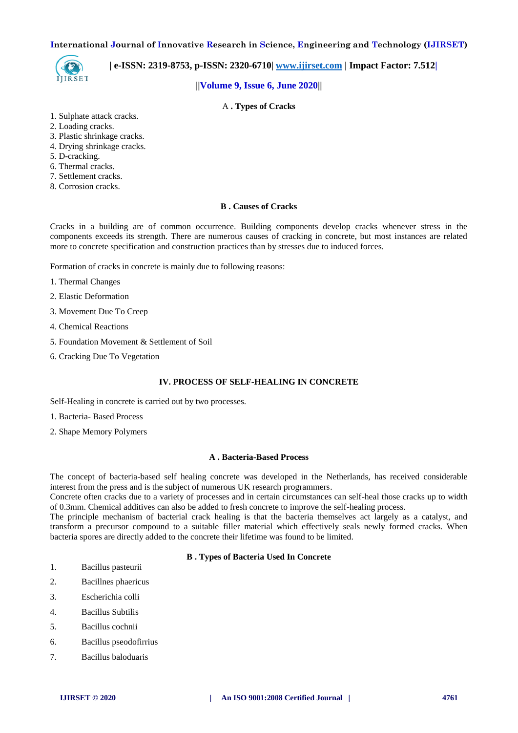

 **| e-ISSN: 2319-8753, p-ISSN: 2320-6710| [www.ijirset.com](http://www.ijirset.com/) | Impact Factor: 7.512|**

## **||Volume 9, Issue 6, June 2020||**

## A **. Types of Cracks**

- 1. Sulphate attack cracks.
- 2. Loading cracks.
- 3. Plastic shrinkage cracks.
- 4. Drying shrinkage cracks.
- 5. D-cracking.
- 6. Thermal cracks.
- 7. Settlement cracks.
- 8. Corrosion cracks.

## **B . Causes of Cracks**

Cracks in a building are of common occurrence. Building components develop cracks whenever stress in the components exceeds its strength. There are numerous causes of cracking in concrete, but most instances are related more to concrete specification and construction practices than by stresses due to induced forces.

Formation of cracks in concrete is mainly due to following reasons:

- 1. Thermal Changes
- 2. Elastic Deformation
- 3. Movement Due To Creep
- 4. Chemical Reactions
- 5. Foundation Movement & Settlement of Soil
- 6. Cracking Due To Vegetation

## **IV. PROCESS OF SELF-HEALING IN CONCRETE**

Self-Healing in concrete is carried out by two processes.

- 1. Bacteria- Based Process
- 2. Shape Memory Polymers

#### **A . Bacteria-Based Process**

The concept of bacteria-based self healing concrete was developed in the Netherlands, has received considerable interest from the press and is the subject of numerous UK research programmers.

Concrete often cracks due to a variety of processes and in certain circumstances can self-heal those cracks up to width of 0.3mm. Chemical additives can also be added to fresh concrete to improve the self-healing process.

The principle mechanism of bacterial crack healing is that the bacteria themselves act largely as a catalyst, and transform a precursor compound to a suitable filler material which effectively seals newly formed cracks. When bacteria spores are directly added to the concrete their lifetime was found to be limited.

#### **B . Types of Bacteria Used In Concrete**

- 1. Bacillus pasteurii
- 2. Bacillnes phaericus
- 3. Escherichia colli
- 4. Bacillus Subtilis
- 5. Bacillus cochnii
- 6. Bacillus pseodofirrius
- 7. Bacillus baloduaris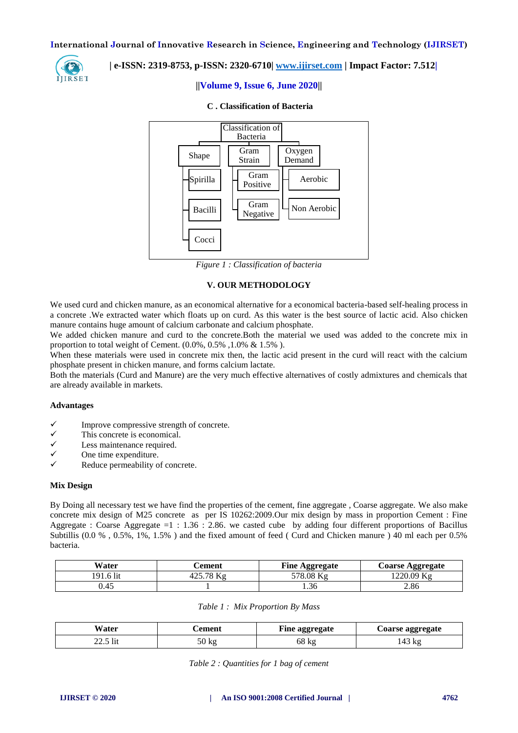

## **| e-ISSN: 2319-8753, p-ISSN: 2320-6710| [www.ijirset.com](http://www.ijirset.com/) | Impact Factor: 7.512|**

## **||Volume 9, Issue 6, June 2020||**



#### **C . Classification of Bacteria**

*Figure 1 : Classification of bacteria*

## **V. OUR METHODOLOGY**

We used curd and chicken manure, as an economical alternative for a economical bacteria-based self-healing process in a concrete .We extracted water which floats up on curd. As this water is the best source of lactic acid. Also chicken manure contains huge amount of calcium carbonate and calcium phosphate.

We added chicken manure and curd to the concrete.Both the material we used was added to the concrete mix in proportion to total weight of Cement.  $(0.0\%, 0.5\%, 1.0\% \& 1.5\%)$ .

When these materials were used in concrete mix then, the lactic acid present in the curd will react with the calcium phosphate present in chicken manure, and forms calcium lactate.

Both the materials (Curd and Manure) are the very much effective alternatives of costly admixtures and chemicals that are already available in markets.

#### **Advantages**

- $\checkmark$  Improve compressive strength of concrete.<br> $\checkmark$  This concrete is economical.
- $\checkmark$  This concrete is economical.<br> $\checkmark$  I ess maintenance required
- $\checkmark$  Less maintenance required.<br> $\checkmark$  One time expenditure
- $\checkmark$  One time expenditure.
- Reduce permeability of concrete.

#### **Mix Design**

By Doing all necessary test we have find the properties of the cement, fine aggregate , Coarse aggregate. We also make concrete mix design of M25 concrete as per IS 10262:2009.Our mix design by mass in proportion Cement : Fine Aggregate : Coarse Aggregate =1 : 1.36 : 2.86. we casted cube by adding four different proportions of Bacillus Subtillis (0.0 %, 0.5%, 1%, 1.5%) and the fixed amount of feed ( Curd and Chicken manure ) 40 ml each per 0.5% bacteria.

| Water     | `ement                    | <b>Fine Aggregate</b> | <b>Coarse Aggregate</b> |
|-----------|---------------------------|-----------------------|-------------------------|
| !91.6 lit | $125.78 K_{\alpha}$<br>ட. | 578.08 Ks             | 1220.09 Kg              |
| 0.45      |                           | 1.36                  | 2.86                    |

|  |  |  | Table 1: Mix Proportion By Mass |  |
|--|--|--|---------------------------------|--|
|--|--|--|---------------------------------|--|

| <b>Vater</b> | 'ement | Fine aggregate | <b>Coarse aggregate</b> |
|--------------|--------|----------------|-------------------------|
| 22.5 lit     | 50 Kg  | 68 kg          | 143 kg                  |

| Table 2 : Quantities for 1 bag of cement |  |  |  |  |
|------------------------------------------|--|--|--|--|
|------------------------------------------|--|--|--|--|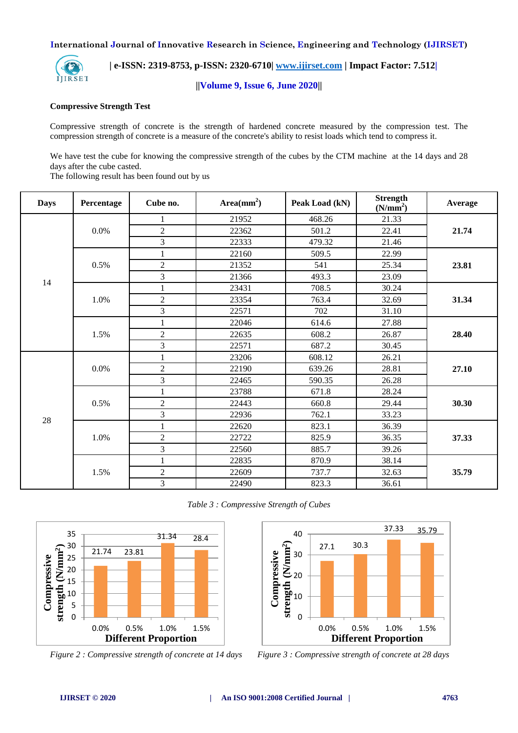

 **| e-ISSN: 2319-8753, p-ISSN: 2320-6710| [www.ijirset.com](http://www.ijirset.com/) | Impact Factor: 7.512|**

**||Volume 9, Issue 6, June 2020||** 

#### **Compressive Strength Test**

Compressive strength of concrete is the strength of hardened concrete measured by the compression test. The compression strength of concrete is a measure of the concrete's ability to resist loads which tend to compress it.

We have test the cube for knowing the compressive strength of the cubes by the CTM machine at the 14 days and 28 days after the cube casted.

The following result has been found out by us

| <b>Days</b> | Percentage | Cube no.       | $Area(mm^2)$ | Peak Load (kN) | <b>Strength</b><br>(N/mm <sup>2</sup> ) | Average |  |
|-------------|------------|----------------|--------------|----------------|-----------------------------------------|---------|--|
|             |            |                | 21952        | 468.26         | 21.33                                   |         |  |
|             | 0.0%       | $\overline{2}$ | 22362        | 501.2          | 22.41                                   | 21.74   |  |
|             |            | 3              | 22333        | 479.32         | 21.46                                   |         |  |
|             |            | $\mathbf 1$    | 22160        | 509.5          | 22.99                                   |         |  |
|             | 0.5%       | $\overline{2}$ | 21352        | 541            | 25.34<br>23.81                          |         |  |
|             |            | 3              | 21366        | 493.3          | 23.09                                   |         |  |
| 14          |            | $\mathbf{1}$   | 23431        | 708.5          | 30.24                                   |         |  |
|             | 1.0%       | $\mathfrak{2}$ | 23354        | 763.4          | 32.69                                   | 31.34   |  |
|             |            | 3              | 22571        | 702            | 31.10                                   |         |  |
|             |            | $\mathbf{1}$   | 22046        | 614.6          | 27.88                                   | 28.40   |  |
|             | 1.5%       | $\overline{c}$ | 22635        | 608.2          | 26.87                                   |         |  |
|             |            | 3              | 22571        | 687.2          | 30.45                                   |         |  |
|             | 0.0%       | $\mathbf{1}$   | 23206        | 608.12         | 26.21                                   |         |  |
|             |            | $\overline{2}$ | 22190        | 639.26         | 28.81                                   | 27.10   |  |
|             |            | 3              | 22465        | 590.35         | 26.28                                   |         |  |
|             |            | $\mathbf{1}$   | 23788        | 671.8          | 28.24                                   |         |  |
|             | 0.5%       | $\sqrt{2}$     | 22443        | 660.8          | 29.44                                   | 30.30   |  |
| 28          |            | 3              | 22936        | 762.1          | 33.23                                   |         |  |
|             |            | $\mathbf{1}$   | 22620        | 823.1          | 36.39                                   |         |  |
|             | 1.0%       | $\overline{2}$ | 22722        | 825.9          | 36.35                                   | 37.33   |  |
|             |            | 3              | 22560        | 885.7          | 39.26                                   |         |  |
|             |            | $\mathbf{1}$   | 22835        | 870.9<br>38.14 |                                         |         |  |
|             | 1.5%       | $\overline{c}$ |              | 737.7          | 32.63                                   | 35.79   |  |
|             |            | 3              | 22490        | 823.3          | 36.61                                   |         |  |

*Table 3 : Compressive Strength of Cubes* 





*Figure 2 : Compressive strength of concrete at 14 days Figure 3 : Compressive strength of concrete at 28 days*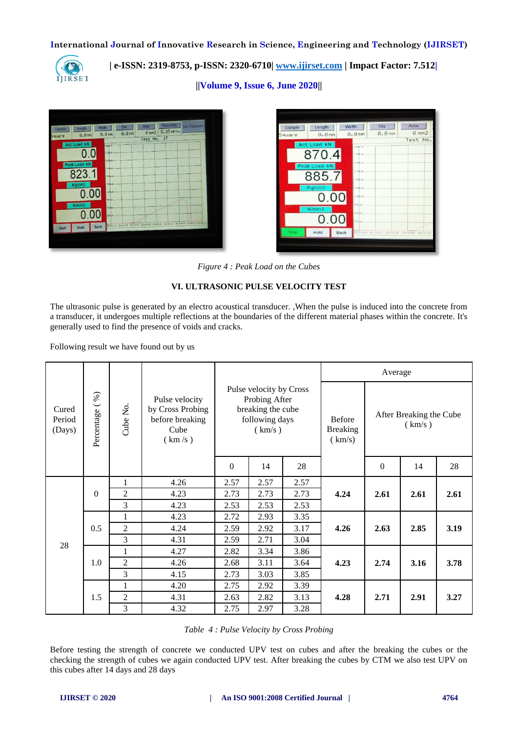

 **| e-ISSN: 2319-8753, p-ISSN: 2320-6710| [www.ijirset.com](http://www.ijirset.com/) | Impact Factor: 7.512|**

**||Volume 9, Issue 6, June 2020||** 



| Sample      | Length       | Width             | Dia                                 | Area          |
|-------------|--------------|-------------------|-------------------------------------|---------------|
| quare       | 0.0mm        | 0.0 <sub>mm</sub> | 0.0mm                               | $0 \,$ mm $2$ |
|             | Act. Load kN |                   |                                     | Test No.      |
|             |              | tone: u<br>2700.0 |                                     |               |
|             | 870.4        | 2400.0.           |                                     |               |
|             | Peak Load kN |                   |                                     |               |
|             | 885.7        | $2100 - 0$        |                                     |               |
|             | Kg/cm2       | 1708.0            |                                     |               |
|             |              | 1506.0            |                                     |               |
|             | 0.00         | 1200.0            |                                     |               |
|             | N/mm2        | sool a            |                                     |               |
|             | 0.00         | sosha             |                                     |               |
|             |              | a lont            |                                     |               |
| <b>Stop</b> | Hold         | <b>Back</b>       | 02113154 02114132 02115110 02115140 | 02118126      |

*Figure 4 : Peak Load on the Cubes*

## **VI. ULTRASONIC PULSE VELOCITY TEST**

The ultrasonic pulse is generated by an electro acoustical transducer. ,When the pulse is induced into the concrete from a transducer, it undergoes multiple reflections at the boundaries of the different material phases within the concrete. It's generally used to find the presence of voids and cracks.

Following result we have found out by us

| Percentage (%)<br>Cured<br>Period<br>(Days) |          |                                                                                    |                                                                                           |      |      | Average                                    |                                   |      |      |      |
|---------------------------------------------|----------|------------------------------------------------------------------------------------|-------------------------------------------------------------------------------------------|------|------|--------------------------------------------|-----------------------------------|------|------|------|
|                                             |          | Pulse velocity<br>Cube No<br>by Cross Probing<br>before breaking<br>Cube<br>(km/s) | Pulse velocity by Cross<br>Probing After<br>breaking the cube<br>following days<br>(km/s) |      |      | <b>Before</b><br><b>Breaking</b><br>(km/s) | After Breaking the Cube<br>(km/s) |      |      |      |
|                                             |          |                                                                                    | $\mathbf{0}$                                                                              | 14   | 28   |                                            | $\Omega$                          | 14   | 28   |      |
| 28                                          | $\theta$ | 1                                                                                  | 4.26                                                                                      | 2.57 | 2.57 | 2.57                                       | 4.24                              | 2.61 | 2.61 | 2.61 |
|                                             |          | $\overline{2}$                                                                     | 4.23                                                                                      | 2.73 | 2.73 | 2.73                                       |                                   |      |      |      |
|                                             |          | 3                                                                                  | 4.23                                                                                      | 2.53 | 2.53 | 2.53                                       |                                   |      |      |      |
|                                             |          | 1                                                                                  | 4.23                                                                                      | 2.72 | 2.93 | 3.35                                       | 4.26                              | 2.63 | 2.85 | 3.19 |
|                                             | 0.5      | $\overline{2}$                                                                     | 4.24                                                                                      | 2.59 | 2.92 | 3.17                                       |                                   |      |      |      |
|                                             |          | 3                                                                                  | 4.31                                                                                      | 2.59 | 2.71 | 3.04                                       |                                   |      |      |      |
|                                             |          | $\mathbf{1}$                                                                       | 4.27                                                                                      | 2.82 | 3.34 | 3.86                                       | 4.23<br>2.74<br>4.28<br>2.71      |      |      |      |
|                                             | 1.0      | $\overline{2}$                                                                     | 4.26                                                                                      | 2.68 | 3.11 | 3.64                                       |                                   |      | 3.16 | 3.78 |
|                                             |          | 3                                                                                  | 4.15                                                                                      | 2.73 | 3.03 | 3.85                                       |                                   |      |      |      |
|                                             |          | $\mathbf{1}$                                                                       | 4.20                                                                                      | 2.75 | 2.92 | 3.39                                       |                                   |      | 2.91 | 3.27 |
|                                             | 1.5      | $\overline{2}$                                                                     | 4.31                                                                                      | 2.63 | 2.82 | 3.13                                       |                                   |      |      |      |
|                                             |          | 3                                                                                  | 4.32                                                                                      | 2.75 | 2.97 | 3.28                                       |                                   |      |      |      |

*Table 4 : Pulse Velocity by Cross Probing*

Before testing the strength of concrete we conducted UPV test on cubes and after the breaking the cubes or the checking the strength of cubes we again conducted UPV test. After breaking the cubes by CTM we also test UPV on this cubes after 14 days and 28 days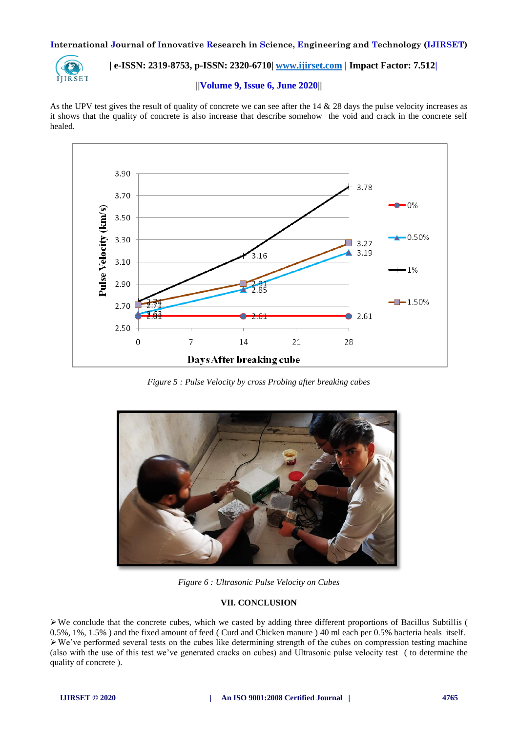

 **| e-ISSN: 2319-8753, p-ISSN: 2320-6710| [www.ijirset.com](http://www.ijirset.com/) | Impact Factor: 7.512|**

#### **||Volume 9, Issue 6, June 2020||**

As the UPV test gives the result of quality of concrete we can see after the 14 & 28 days the pulse velocity increases as it shows that the quality of concrete is also increase that describe somehow the void and crack in the concrete self healed.



*Figure 5 : Pulse Velocity by cross Probing after breaking cubes* 



*Figure 6 : Ultrasonic Pulse Velocity on Cubes*

## **VII. CONCLUSION**

 $\triangleright$  We conclude that the concrete cubes, which we casted by adding three different proportions of Bacillus Subtillis ( 0.5%, 1%, 1.5% ) and the fixed amount of feed ( Curd and Chicken manure ) 40 ml each per 0.5% bacteria heals itself.  $\triangleright$  We've performed several tests on the cubes like determining strength of the cubes on compression testing machine (also with the use of this test we've generated cracks on cubes) and Ultrasonic pulse velocity test ( to determine the quality of concrete ).